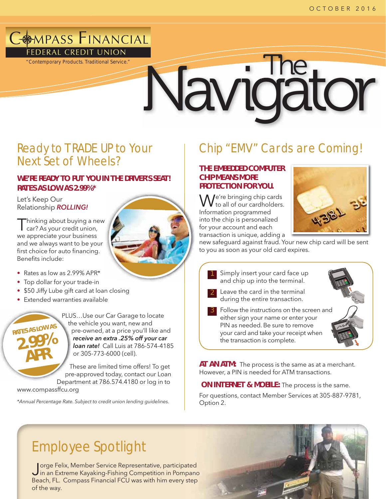# **COMPASS FINANCIAL** FEDERAL CREDIT UNION

*"Contemporary Products. Traditional Service."*

# Navidator

# Ready to TRADE UP to Your Next Set of Wheels?

### **WE'RE READY TO PUT YOU IN THE DRIVER'S SEAT! RATES AS LOW AS 2.99%\***

Let's Keep Our Relationship ROLLING!

Thinking about buying a new car? As your credit union, we appreciate your business and we always want to be your first choice for auto financing. Benefits include:



- Rates as low as 2.99% APR\*
- Top dollar for your trade-in
- \$50 Jiffy Lube gift card at loan closing
- Extended warranties available



PLUS…Use our Car Garage to locate U the vehicle you want, new and h pre-owned, at a price you'll like and p receive an extra .25% off your car **loan rate!** Call Luis at 786-574-4185 or 305-773-6000 (cell).

These are limited time offers! To get T pre-approved today, contact our Loan Department at 786.574.4180 or log in to Depa

www.compassffcu.org

\*Annual Percentage Rate. Subject to credit union lending guidelines.

# Chip "EMV" Cards are Coming!

### **THE EMBEDDED COMPUTER CHIP MEANS MORE PROTECTION FOR YOU.**

 $\bigwedge$  /e're bringing chip cards to all of our cardholders. Information programmed into the chip is personalized for your account and each transaction is unique, adding a



new safeguard against fraud. Your new chip card will be sent to you as soon as your old card expires.



**AT AN ATM:** The process is the same as at a merchant. However, a PIN is needed for ATM transactions.

**ON INTERNET & MOBILE:** The process is the same. For questions, contact Member Services at 305-887-9781,

Option 2.

# Employee Spotlight

Jorge Felix, Member Service Representative, participated in an Extreme Kayaking-Fishing Competition in Pompano Beach, FL. Compass Financial FCU was with him every step of the way.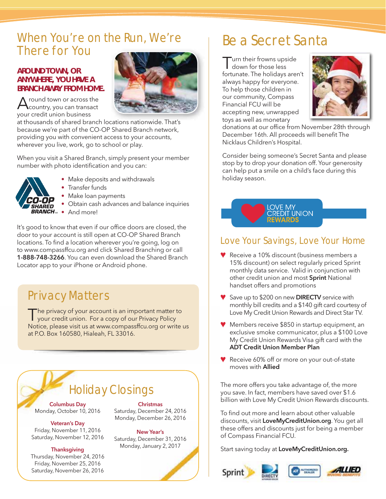# When You're on the Run, We're There for You

### **AROUND TOWN, OR ANYWHERE, YOU HAVE A BRANCH AWAY FROM HOME.**

A round town or across the<br>Country, you can transact your credit union business



at thousands of shared branch locations nationwide. That's because we're part of the CO-OP Shared Branch network, providing you with convenient access to your accounts, wherever you live, work, go to school or play.

When you visit a Shared Branch, simply present your member number with photo identification and you can:



• Make deposits and withdrawals

• Transfer funds

- Make loan payments
- Obtain cash advances and balance inquiries
- BRANCH<sub>®</sub> And more!

It's good to know that even if our office doors are closed, the door to your account is still open at CO-OP Shared Branch locations. To find a location wherever you're going, log on to www.compassffcu.org and click Shared Branching or call 1-888-748-3266. You can even download the Shared Branch Locator app to your iPhone or Android phone.

# Privacy Matters

The privacy of your account is an important matter to<br>your credit union. For a copy of our Privacy Policy Notice, please visit us at www.compassffcu.org or write us at P.O. Box 160580, Hialeah, FL 33016.

# Holiday Closings

Columbus Day Monday, October 10, 2016

Veteran's Day Friday, November 11, 2016 Saturday, November 12, 2016

### **Thanksgiving**

Thursday, November 24, 2016 Friday, November 25, 2016 Saturday, November 26, 2016

**Christmas** Saturday, December 24, 2016 Monday, December 26, 2016

New Year's Saturday, December 31, 2016 Monday, January 2, 2017

# Be a Secret Santa

urn their frowns upside down for those less fortunate. The holidays aren't always happy for everyone. To help those children in our community, Compass Financial FCU will be accepting new, unwrapped toys as well as monetary



donations at our office from November 28th through December 16th. All proceeds will benefit The Nicklaus Children's Hospital.

Consider being someone's Secret Santa and please stop by to drop your donation off. Your generosity can help put a smile on a child's face during this holiday season.



### Love Your Savings, Love Your Home

- Receive a 10% discount (business members a 15% discount) on select regularly priced Sprint monthly data service. Valid in conjunction with other credit union and most Sprint National handset offers and promotions
- Save up to \$200 on new DIRECTV service with monthly bill credits and a \$140 gift card courtesy of Love My Credit Union Rewards and Direct Star TV.
- ◆ Members receive \$850 in startup equipment, an exclusive smoke communicator, plus a \$100 Love My Credit Union Rewards Visa gift card with the ADT Credit Union Member Plan
- Receive 60% off or more on your out-of-state moves with Allied

The more offers you take advantage of, the more you save. In fact, members have saved over \$1.6 billion with Love My Credit Union Rewards discounts.

To find out more and learn about other valuable discounts, visit LoveMyCreditUnion.org. You get all these offers and discounts just for being a member of Compass Financial FCU.

Start saving today at LoveMyCreditUnion.org.





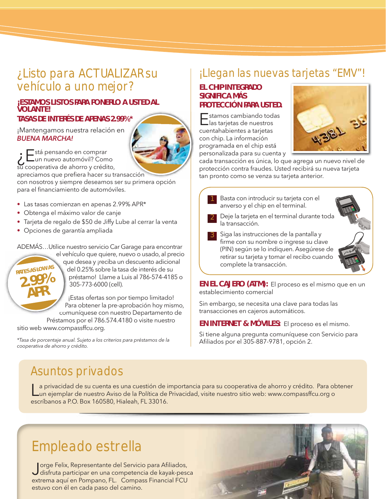# ¿Listo para ACTUALIZAR su vehículo a uno mejor?

### **¡ESTAMOS LISTOS PARA PONERLO A USTED AL VOLANTE!**

### **TASAS DE INTERÉS DE APENAS 2.99%\* %\***

¡Mantengamos nuestra relación en BUENA MARCHA!



apreciamos que prefiera hacer su transacción con nosotros y siempre deseamos ser su primera opción para el financiamiento de automóviles.

- Las tasas comienzan en apenas 2.99% APR\*
- Obtenga el máximo valor de canje
- Tarjeta de regalo de \$50 de Jiffy Lube al cerrar la venta
- Opciones de garantía ampliada

ADEMÁS…Utilice nuestro servicio Car Garage para encontrar



el vehículo que quiere, nuevo o usado, al precio ve el que desea y ¡reciba un descuento adicional qu q del 0.25% sobre la tasa de interés de su d préstamo! Llame a Luis al 786-574-4185 o 305-773-6000 (cell).

¡Estas ofertas son por tiempo limitado! Para obtener la pre-aprobación hoy mismo, P comuníquese con nuestro Departamento de co

Préstamos por el 786.574.4180 o visite nuestro sitio web www.compassffcu.org.

\*Tasa de porcentaje anual. Sujeto a los criterios para préstamos de la cooperativa de ahorro y crédito.

# ¡Llegan las nuevas tarjetas "EMV"!

### **EL CHIP INTEGRADO SIGNIFICA MÁS PROTECCIÓN PARA USTED.**

Estamos cambiando todas las tarjetas de nuestros cuentahabientes a tarjetas con chip. La información programada en el chip está personalizada para su cuenta y



cada transacción es única, lo que agrega un nuevo nivel de protección contra fraudes. Usted recibirá su nueva tarjeta tan pronto como se venza su tarjeta anterior.



**EN EL CAJERO (ATM):** El proceso es el mismo que en un establecimiento comercial

Sin embargo, se necesita una clave para todas las transacciones en cajeros automáticos.

**EN INTERNET & MÓVILES:** El proceso es el mismo.

Si tiene alguna pregunta comuníquese con Servicio para Afiliados por el 305-887-9781, opción 2.

# Asuntos privados

a privacidad de su cuenta es una cuestión de importancia para su cooperativa de ahorro y crédito. Para obtener un ejemplar de nuestro Aviso de la Política de Privacidad, visite nuestro sitio web: www.compassffcu.org o escríbanos a P.O. Box 160580, Hialeah, FL 33016.

# Empleado estrella

Jorge Felix, Representante del Servicio para Afiliados, disfruta participar en una competencia de kayak-pesca extrema aquí en Pompano, FL. Compass Financial FCU estuvo con él en cada paso del camino.